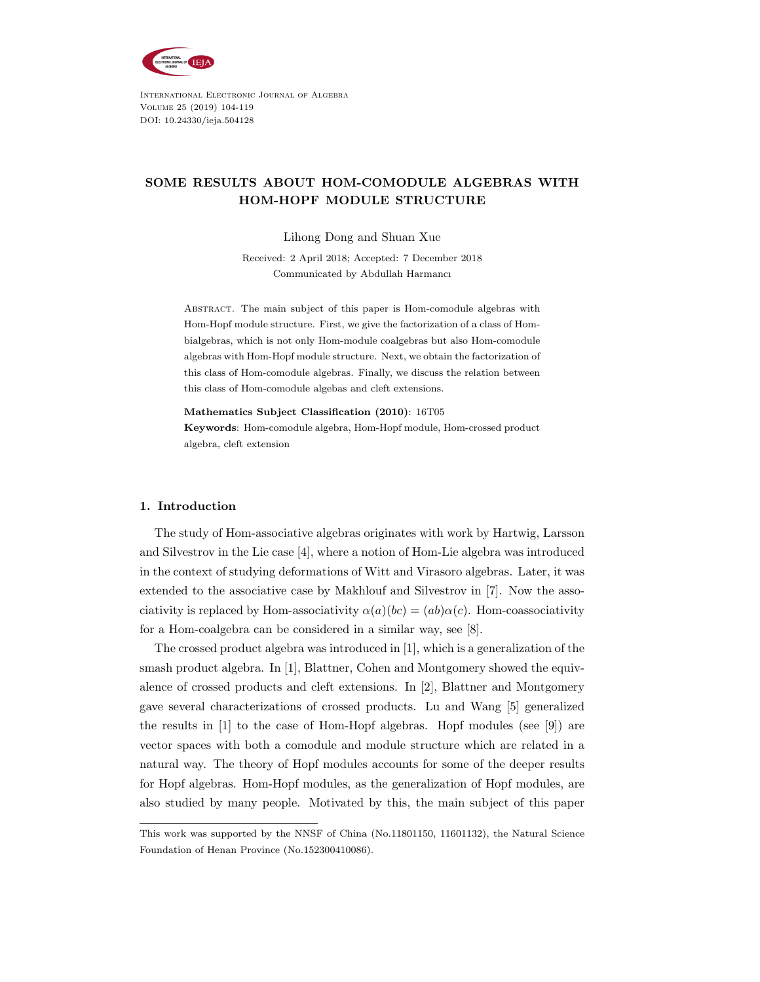

International Electronic Journal of Algebra Volume 25 (2019) 104-119 DOI: 10.24330/ieja.504128

## SOME RESULTS ABOUT HOM-COMODULE ALGEBRAS WITH HOM-HOPF MODULE STRUCTURE

Lihong Dong and Shuan Xue

Received: 2 April 2018; Accepted: 7 December 2018 Communicated by Abdullah Harmancı

Abstract. The main subject of this paper is Hom-comodule algebras with Hom-Hopf module structure. First, we give the factorization of a class of Hombialgebras, which is not only Hom-module coalgebras but also Hom-comodule algebras with Hom-Hopf module structure. Next, we obtain the factorization of this class of Hom-comodule algebras. Finally, we discuss the relation between this class of Hom-comodule algebas and cleft extensions.

Mathematics Subject Classification (2010): 16T05 Keywords: Hom-comodule algebra, Hom-Hopf module, Hom-crossed product

#### 1. Introduction

algebra, cleft extension

The study of Hom-associative algebras originates with work by Hartwig, Larsson and Silvestrov in the Lie case [4], where a notion of Hom-Lie algebra was introduced in the context of studying deformations of Witt and Virasoro algebras. Later, it was extended to the associative case by Makhlouf and Silvestrov in [7]. Now the associativity is replaced by Hom-associativity  $\alpha(a)(bc) = (ab)\alpha(c)$ . Hom-coassociativity for a Hom-coalgebra can be considered in a similar way, see [8].

The crossed product algebra was introduced in [1], which is a generalization of the smash product algebra. In [1], Blattner, Cohen and Montgomery showed the equivalence of crossed products and cleft extensions. In [2], Blattner and Montgomery gave several characterizations of crossed products. Lu and Wang [5] generalized the results in [1] to the case of Hom-Hopf algebras. Hopf modules (see [9]) are vector spaces with both a comodule and module structure which are related in a natural way. The theory of Hopf modules accounts for some of the deeper results for Hopf algebras. Hom-Hopf modules, as the generalization of Hopf modules, are also studied by many people. Motivated by this, the main subject of this paper

This work was supported by the NNSF of China (No.11801150, 11601132), the Natural Science Foundation of Henan Province (No.152300410086).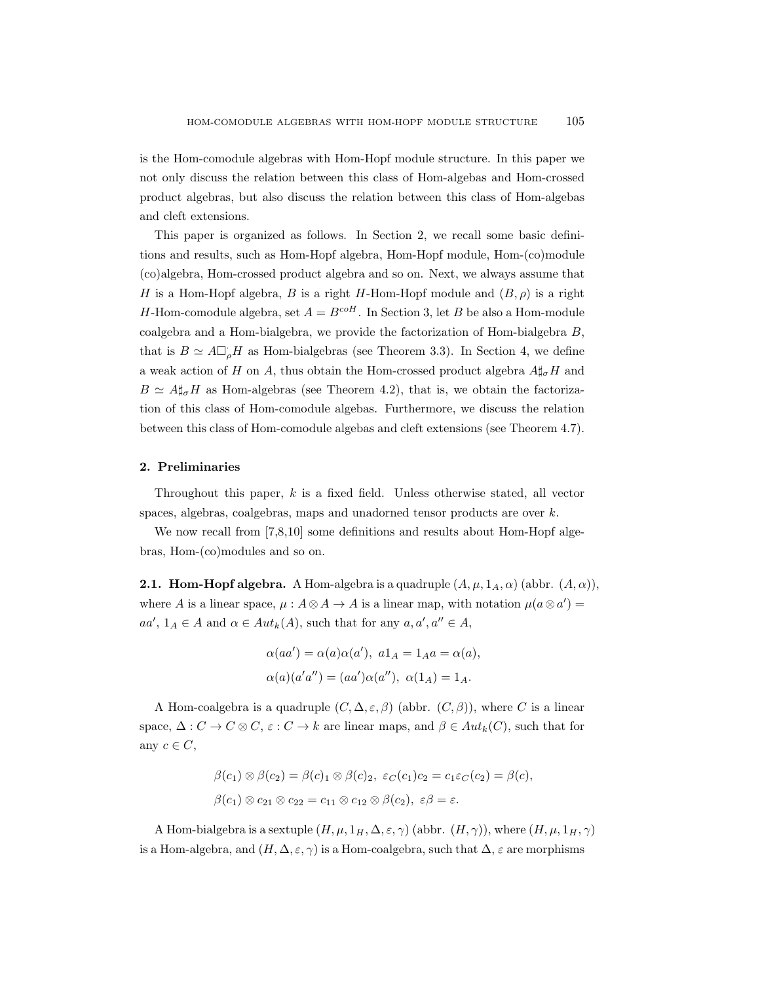is the Hom-comodule algebras with Hom-Hopf module structure. In this paper we not only discuss the relation between this class of Hom-algebas and Hom-crossed product algebras, but also discuss the relation between this class of Hom-algebas and cleft extensions.

This paper is organized as follows. In Section 2, we recall some basic definitions and results, such as Hom-Hopf algebra, Hom-Hopf module, Hom-(co)module (co)algebra, Hom-crossed product algebra and so on. Next, we always assume that H is a Hom-Hopf algebra, B is a right H-Hom-Hopf module and  $(B, \rho)$  is a right H-Hom-comodule algebra, set  $A = B^{coH}$ . In Section 3, let B be also a Hom-module coalgebra and a Hom-bialgebra, we provide the factorization of Hom-bialgebra B, that is  $B \simeq A \Box_{\rho} H$  as Hom-bialgebras (see Theorem 3.3). In Section 4, we define a weak action of H on A, thus obtain the Hom-crossed product algebra  $A \sharp_{\sigma} H$  and  $B \simeq A \sharp_{\sigma} H$  as Hom-algebras (see Theorem 4.2), that is, we obtain the factorization of this class of Hom-comodule algebas. Furthermore, we discuss the relation between this class of Hom-comodule algebas and cleft extensions (see Theorem 4.7).

#### 2. Preliminaries

Throughout this paper, k is a fixed field. Unless otherwise stated, all vector spaces, algebras, coalgebras, maps and unadorned tensor products are over  $k$ .

We now recall from [7,8,10] some definitions and results about Hom-Hopf algebras, Hom-(co)modules and so on.

**2.1. Hom-Hopf algebra.** A Hom-algebra is a quadruple  $(A, \mu, 1_A, \alpha)$  (abbr.  $(A, \alpha)$ ), where A is a linear space,  $\mu : A \otimes A \to A$  is a linear map, with notation  $\mu(a \otimes a') =$  $aa', \, 1_A \in A$  and  $\alpha \in Aut_k(A)$ , such that for any  $a, a', a'' \in A$ ,

$$
\alpha(aa') = \alpha(a)\alpha(a'), \ a1_A = 1_Aa = \alpha(a),
$$
  

$$
\alpha(a)(a'a'') = (aa')\alpha(a''), \ \alpha(1_A) = 1_A.
$$

A Hom-coalgebra is a quadruple  $(C, \Delta, \varepsilon, \beta)$  (abbr.  $(C, \beta)$ ), where C is a linear space,  $\Delta: C \to C \otimes C$ ,  $\varepsilon: C \to k$  are linear maps, and  $\beta \in Aut_k(C)$ , such that for any  $c \in C$ ,

$$
\beta(c_1) \otimes \beta(c_2) = \beta(c_1) \otimes \beta(c_2), \ \varepsilon_C(c_1)c_2 = c_1\varepsilon_C(c_2) = \beta(c),
$$
  

$$
\beta(c_1) \otimes c_{21} \otimes c_{22} = c_{11} \otimes c_{12} \otimes \beta(c_2), \ \varepsilon\beta = \varepsilon.
$$

A Hom-bialgebra is a sextuple  $(H, \mu, 1_H, \Delta, \varepsilon, \gamma)$  (abbr.  $(H, \gamma)$ ), where  $(H, \mu, 1_H, \gamma)$ is a Hom-algebra, and  $(H, \Delta, \varepsilon, \gamma)$  is a Hom-coalgebra, such that  $\Delta$ ,  $\varepsilon$  are morphisms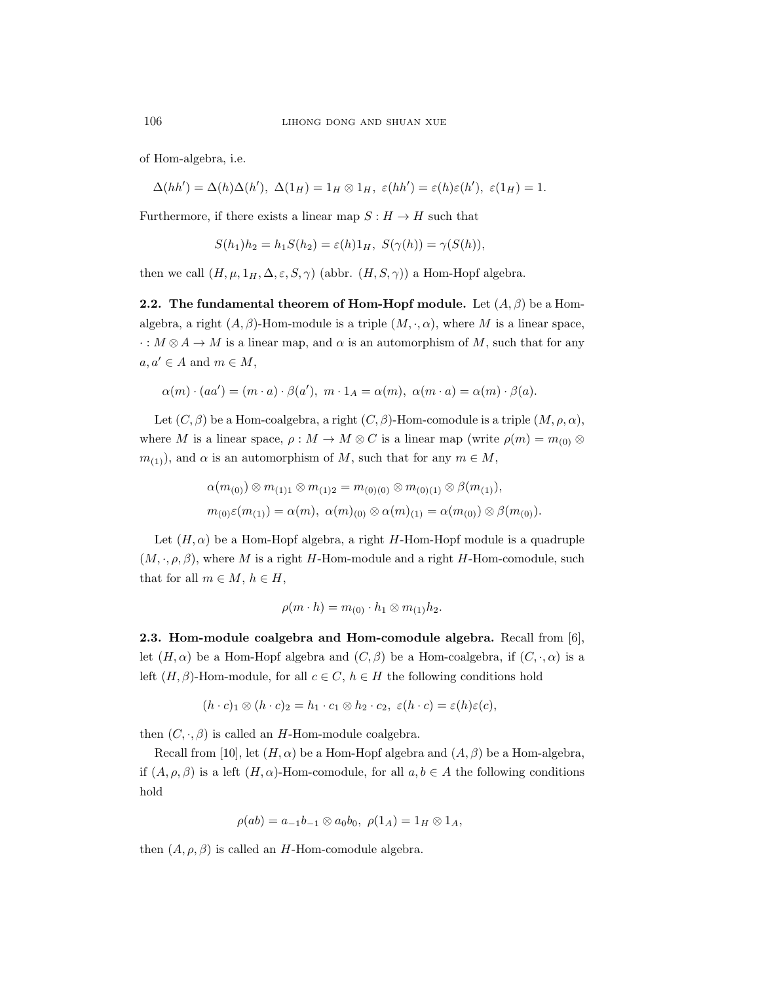of Hom-algebra, i.e.

$$
\Delta(hh') = \Delta(h)\Delta(h'), \ \Delta(1_H) = 1_H \otimes 1_H, \ \varepsilon(hh') = \varepsilon(h)\varepsilon(h'), \ \varepsilon(1_H) = 1.
$$

Furthermore, if there exists a linear map  $S : H \to H$  such that

$$
S(h_1)h_2 = h_1S(h_2) = \varepsilon(h)1_H, \ S(\gamma(h)) = \gamma(S(h)),
$$

then we call  $(H, \mu, 1_H, \Delta, \varepsilon, S, \gamma)$  (abbr.  $(H, S, \gamma)$ ) a Hom-Hopf algebra.

**2.2.** The fundamental theorem of Hom-Hopf module. Let  $(A, \beta)$  be a Homalgebra, a right  $(A, \beta)$ -Hom-module is a triple  $(M, \cdot, \alpha)$ , where M is a linear space,  $\cdot : M \otimes A \to M$  is a linear map, and  $\alpha$  is an automorphism of M, such that for any  $a, a' \in A$  and  $m \in M$ ,

$$
\alpha(m) \cdot (aa') = (m \cdot a) \cdot \beta(a'), \ m \cdot 1_A = \alpha(m), \ \alpha(m \cdot a) = \alpha(m) \cdot \beta(a).
$$

Let  $(C, \beta)$  be a Hom-coalgebra, a right  $(C, \beta)$ -Hom-comodule is a triple  $(M, \rho, \alpha)$ , where M is a linear space,  $\rho : M \to M \otimes C$  is a linear map (write  $\rho(m) = m_{(0)} \otimes$  $m_{(1)}$ , and  $\alpha$  is an automorphism of M, such that for any  $m \in M$ ,

$$
\alpha(m_{(0)}) \otimes m_{(1)1} \otimes m_{(1)2} = m_{(0)(0)} \otimes m_{(0)(1)} \otimes \beta(m_{(1)}),
$$
  

$$
m_{(0)}\varepsilon(m_{(1)}) = \alpha(m), \ \alpha(m)_{(0)} \otimes \alpha(m)_{(1)} = \alpha(m_{(0)}) \otimes \beta(m_{(0)}).
$$

Let  $(H, \alpha)$  be a Hom-Hopf algebra, a right H-Hom-Hopf module is a quadruple  $(M, \cdot, \rho, \beta)$ , where M is a right H-Hom-module and a right H-Hom-comodule, such that for all  $m \in M$ ,  $h \in H$ ,

$$
\rho(m \cdot h) = m_{(0)} \cdot h_1 \otimes m_{(1)} h_2.
$$

2.3. Hom-module coalgebra and Hom-comodule algebra. Recall from [6], let  $(H, \alpha)$  be a Hom-Hopf algebra and  $(C, \beta)$  be a Hom-coalgebra, if  $(C, \cdot, \alpha)$  is a left  $(H, \beta)$ -Hom-module, for all  $c \in C$ ,  $h \in H$  the following conditions hold

$$
(h \cdot c)_1 \otimes (h \cdot c)_2 = h_1 \cdot c_1 \otimes h_2 \cdot c_2, \ \varepsilon (h \cdot c) = \varepsilon (h) \varepsilon (c),
$$

then  $(C, \cdot, \beta)$  is called an H-Hom-module coalgebra.

Recall from [10], let  $(H, \alpha)$  be a Hom-Hopf algebra and  $(A, \beta)$  be a Hom-algebra, if  $(A, \rho, \beta)$  is a left  $(H, \alpha)$ -Hom-comodule, for all  $a, b \in A$  the following conditions hold

$$
\rho(ab) = a_{-1}b_{-1} \otimes a_0b_0, \ \rho(1_A) = 1_H \otimes 1_A,
$$

then  $(A, \rho, \beta)$  is called an H-Hom-comodule algebra.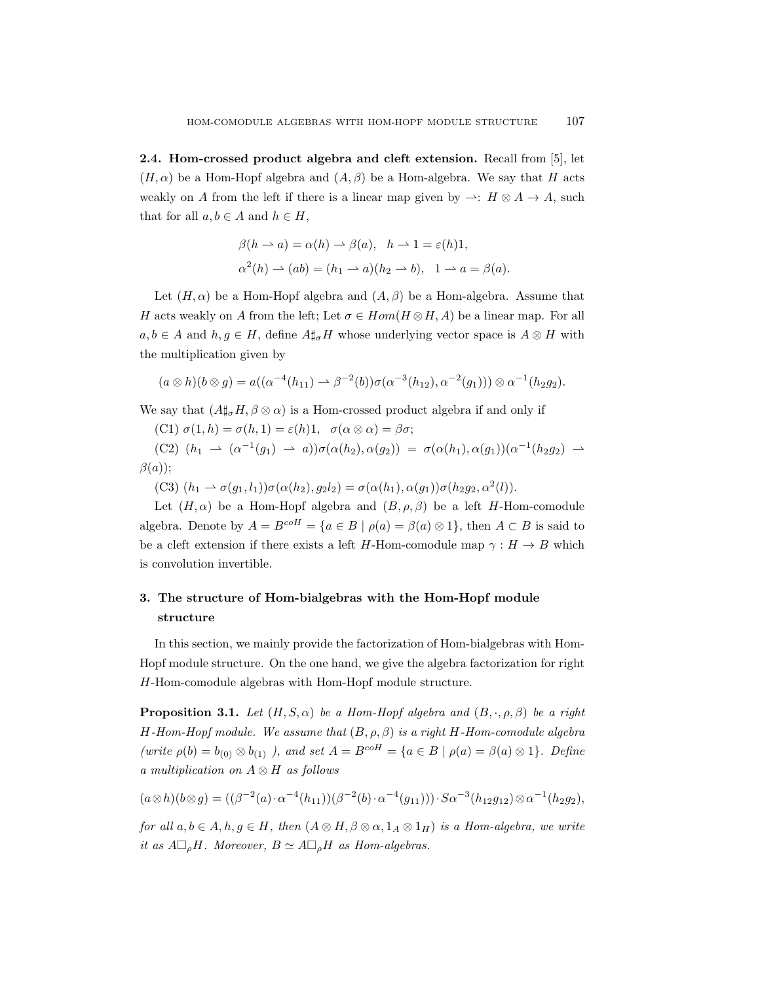2.4. Hom-crossed product algebra and cleft extension. Recall from [5], let  $(H, \alpha)$  be a Hom-Hopf algebra and  $(A, \beta)$  be a Hom-algebra. We say that H acts weakly on A from the left if there is a linear map given by  $\rightarrow : H \otimes A \rightarrow A$ , such that for all  $a, b \in A$  and  $h \in H$ ,

$$
\beta(h \to a) = \alpha(h) \to \beta(a), \quad h \to 1 = \varepsilon(h)1,
$$
  

$$
\alpha^2(h) \to (ab) = (h_1 \to a)(h_2 \to b), \quad 1 \to a = \beta(a).
$$

Let  $(H, \alpha)$  be a Hom-Hopf algebra and  $(A, \beta)$  be a Hom-algebra. Assume that H acts weakly on A from the left; Let  $\sigma \in Hom(H \otimes H, A)$  be a linear map. For all  $a, b \in A$  and  $h, g \in H$ , define  $A \sharp_{\sigma} H$  whose underlying vector space is  $A \otimes H$  with the multiplication given by

$$
(a \otimes h)(b \otimes g) = a((\alpha^{-4}(h_{11}) \rightarrow \beta^{-2}(b))\sigma(\alpha^{-3}(h_{12}), \alpha^{-2}(g_1))) \otimes \alpha^{-1}(h_2g_2).
$$

We say that  $(A\sharp_{\sigma}H, \beta \otimes \alpha)$  is a Hom-crossed product algebra if and only if

(C1)  $\sigma(1, h) = \sigma(h, 1) = \varepsilon(h)1, \quad \sigma(\alpha \otimes \alpha) = \beta \sigma;$ 

(C2)  $(h_1 \rightarrow (\alpha^{-1}(g_1) \rightarrow a))\sigma(\alpha(h_2), \alpha(g_2)) = \sigma(\alpha(h_1), \alpha(g_1))(\alpha^{-1}(h_2g_2) \rightarrow a)$  $\beta(a)$ :

(C3)  $(h_1 \to \sigma(g_1, l_1))\sigma(\alpha(h_2), g_2l_2) = \sigma(\alpha(h_1), \alpha(g_1))\sigma(h_2g_2, \alpha^2(l)).$ 

Let  $(H, \alpha)$  be a Hom-Hopf algebra and  $(B, \rho, \beta)$  be a left H-Hom-comodule algebra. Denote by  $A = B^{coH} = \{a \in B \mid \rho(a) = \beta(a) \otimes 1\}$ , then  $A \subset B$  is said to be a cleft extension if there exists a left H-Hom-comodule map  $\gamma : H \to B$  which is convolution invertible.

# 3. The structure of Hom-bialgebras with the Hom-Hopf module structure

In this section, we mainly provide the factorization of Hom-bialgebras with Hom-Hopf module structure. On the one hand, we give the algebra factorization for right H-Hom-comodule algebras with Hom-Hopf module structure.

**Proposition 3.1.** Let  $(H, S, \alpha)$  be a Hom-Hopf algebra and  $(B, \cdot, \rho, \beta)$  be a right H-Hom-Hopf module. We assume that  $(B, \rho, \beta)$  is a right H-Hom-comodule algebra (write  $\rho(b) = b_{(0)} \otimes b_{(1)}$ ), and set  $A = B^{coH} = \{a \in B \mid \rho(a) = \beta(a) \otimes 1\}$ . Define a multiplication on  $A \otimes H$  as follows

$$
(a \otimes h)(b \otimes g) = ((\beta^{-2}(a) \cdot \alpha^{-4}(h_{11}))(\beta^{-2}(b) \cdot \alpha^{-4}(g_{11}))) \cdot S \alpha^{-3}(h_{12}g_{12}) \otimes \alpha^{-1}(h_2g_2),
$$

for all  $a, b \in A$ ,  $h, g \in H$ , then  $(A \otimes H, \beta \otimes \alpha, 1_A \otimes 1_H)$  is a Hom-algebra, we write it as  $A \Box_{\rho} H$ . Moreover,  $B \simeq A \Box_{\rho} H$  as Hom-algebras.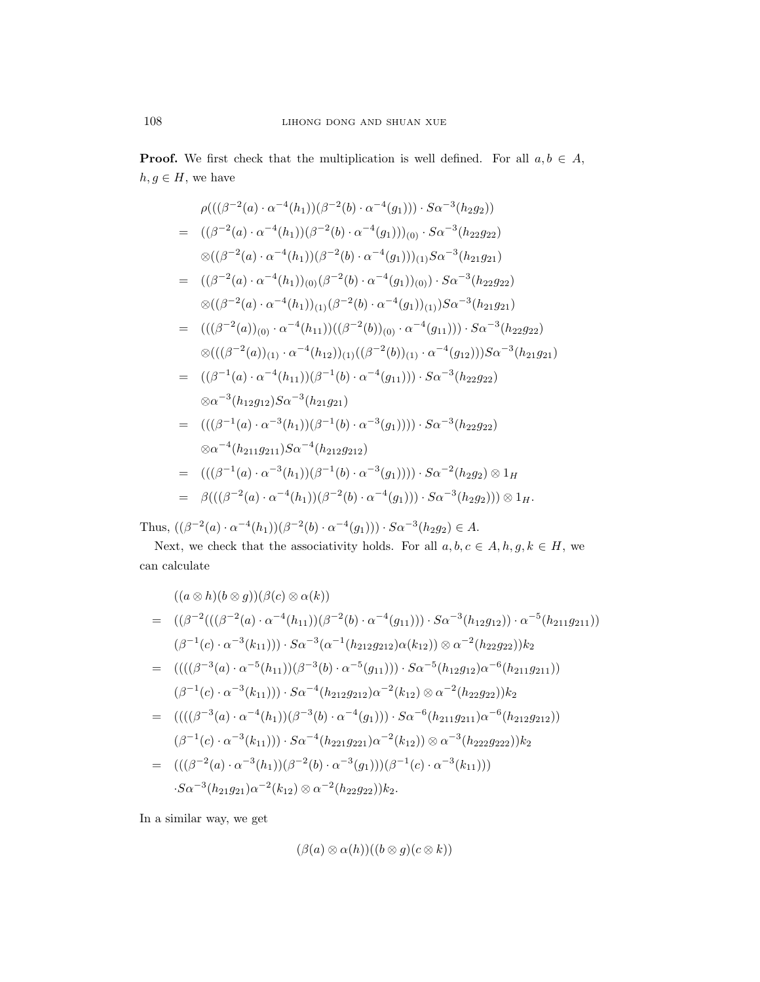**Proof.** We first check that the multiplication is well defined. For all  $a, b \in A$ ,  $h, g \in H$ , we have

$$
\rho(((\beta^{-2}(a)\cdot\alpha^{-4}(h_1))(\beta^{-2}(b)\cdot\alpha^{-4}(g_1)))\cdot S\alpha^{-3}(h_2g_2))
$$
\n
$$
= ((\beta^{-2}(a)\cdot\alpha^{-4}(h_1))(\beta^{-2}(b)\cdot\alpha^{-4}(g_1)))(0)\cdot S\alpha^{-3}(h_2g_2)
$$
\n
$$
\otimes((\beta^{-2}(a)\cdot\alpha^{-4}(h_1))(\beta^{-2}(b)\cdot\alpha^{-4}(g_1)))(1)S\alpha^{-3}(h_2g_2)
$$
\n
$$
= ((\beta^{-2}(a)\cdot\alpha^{-4}(h_1))_{(0)}(\beta^{-2}(b)\cdot\alpha^{-4}(g_1))_{(0)})\cdot S\alpha^{-3}(h_2g_2)
$$
\n
$$
\otimes((\beta^{-2}(a)\cdot\alpha^{-4}(h_1))_{(1)}(\beta^{-2}(b)\cdot\alpha^{-4}(g_1))_{(1)})S\alpha^{-3}(h_2g_2)
$$
\n
$$
= (((\beta^{-2}(a))_{(0)}\cdot\alpha^{-4}(h_{11}))((\beta^{-2}(b))_{(0)}\cdot\alpha^{-4}(g_{11})))\cdot S\alpha^{-3}(h_2g_2)
$$
\n
$$
\otimes(((\beta^{-2}(a))_{(1)}\cdot\alpha^{-4}(h_{12}))_{(1)}((\beta^{-2}(b))_{(1)}\cdot\alpha^{-4}(g_{12})))S\alpha^{-3}(h_{21}g_{21})
$$
\n
$$
= ((\beta^{-1}(a)\cdot\alpha^{-4}(h_{11}))(\beta^{-1}(b)\cdot\alpha^{-4}(g_{11})))\cdot S\alpha^{-3}(h_{22}g_{22})
$$
\n
$$
\otimes \alpha^{-3}(h_2g_1)S\alpha^{-3}(h_2g_2)
$$
\n
$$
= (((\beta^{-1}(a)\cdot\alpha^{-3}(h_1))(\beta^{-1}(b)\cdot\alpha^{-3}(g_1))))\cdot S\alpha^{-3}(h_2g_2)
$$
\n
$$
\otimes \alpha^{-4}(h_2g_1g_2)S\alpha^{-4}(h_2g_2g_2)
$$
\n
$$
= (((\beta^{-1}(a)\cdot\alpha^{-3}(h_1))(\beta^{-1}(b)\cdot\alpha^{-3}(g_1))))\cdot S\alpha^{-2}(h_2g_2) \otimes 1_H
$$
\n
$$
= \beta(((\beta^{-2}(a)\cdot
$$

Thus,  $((\beta^{-2}(a) \cdot \alpha^{-4}(h_1))(\beta^{-2}(b) \cdot \alpha^{-4}(g_1))) \cdot S\alpha^{-3}(h_2g_2) \in A$ .

Next, we check that the associativity holds. For all  $a, b, c \in A, h, g, k \in H$ , we can calculate

$$
((a \otimes h)(b \otimes g))(\beta(c) \otimes \alpha(k))
$$
  
=  $((\beta^{-2}(((\beta^{-2}(a) \cdot \alpha^{-4}(h_{11}))(\beta^{-2}(b) \cdot \alpha^{-4}(g_{11}))) \cdot S\alpha^{-3}(h_{12}g_{12})) \cdot \alpha^{-5}(h_{211}g_{211}))$   
 $(\beta^{-1}(c) \cdot \alpha^{-3}(k_{11}))) \cdot S\alpha^{-3}(\alpha^{-1}(h_{212}g_{212})\alpha(k_{12})) \otimes \alpha^{-2}(h_{22}g_{22}))k_2$   
=  $((((\beta^{-3}(a) \cdot \alpha^{-5}(h_{11}))(\beta^{-3}(b) \cdot \alpha^{-5}(g_{11}))) \cdot S\alpha^{-5}(h_{12}g_{12})\alpha^{-6}(h_{211}g_{211}))$   
 $(\beta^{-1}(c) \cdot \alpha^{-3}(k_{11}))) \cdot S\alpha^{-4}(h_{212}g_{212})\alpha^{-2}(k_{12}) \otimes \alpha^{-2}(h_{22}g_{22}))k_2$   
=  $((((\beta^{-3}(a) \cdot \alpha^{-4}(h_1))(\beta^{-3}(b) \cdot \alpha^{-4}(g_1))) \cdot S\alpha^{-6}(h_{211}g_{211})\alpha^{-6}(h_{212}g_{212}))$   
 $(\beta^{-1}(c) \cdot \alpha^{-3}(k_{11}))) \cdot S\alpha^{-4}(h_{221}g_{221})\alpha^{-2}(k_{12})) \otimes \alpha^{-3}(h_{222}g_{222}))k_2$   
=  $(((\beta^{-2}(a) \cdot \alpha^{-3}(h_1))(\beta^{-2}(b) \cdot \alpha^{-3}(g_1)))(\beta^{-1}(c) \cdot \alpha^{-3}(k_{11})))$   
 $S\alpha^{-3}(h_{21}g_{21})\alpha^{-2}(k_{12}) \otimes \alpha^{-2}(h_{22}g_{22}))k_2$ .

In a similar way, we get

$$
(\beta(a)\otimes\alpha(h))((b\otimes g)(c\otimes k))
$$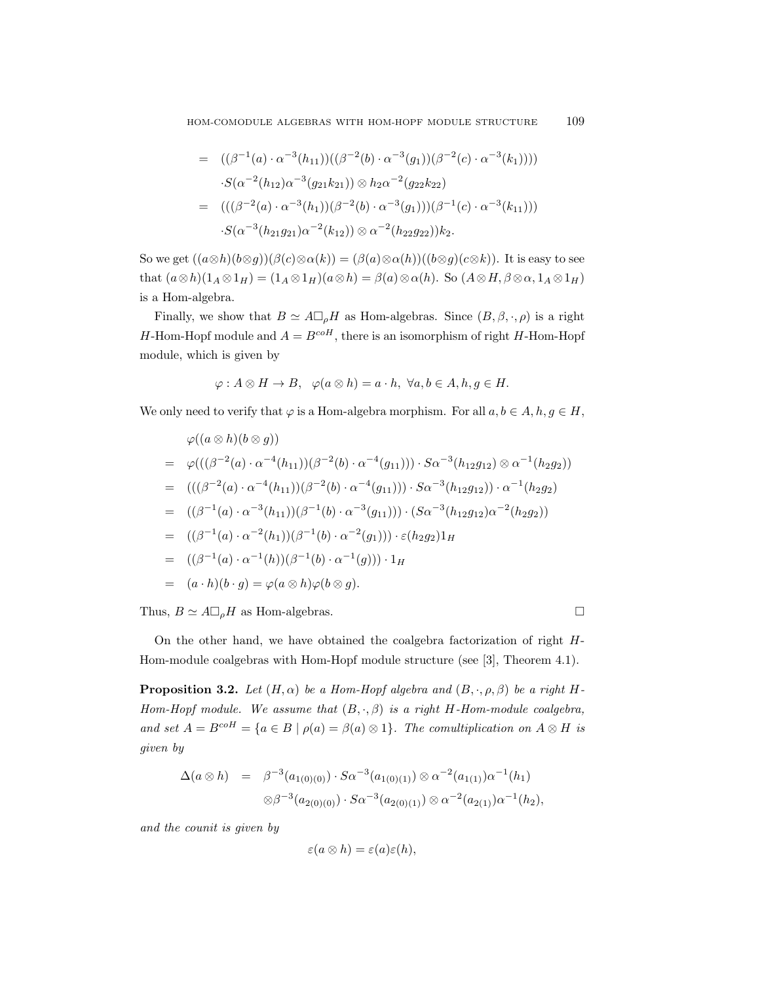$$
= ((\beta^{-1}(a) \cdot \alpha^{-3}(h_{11}))((\beta^{-2}(b) \cdot \alpha^{-3}(g_1))(\beta^{-2}(c) \cdot \alpha^{-3}(k_1))))
$$
  
\n
$$
\cdot S(\alpha^{-2}(h_{12})\alpha^{-3}(g_{21}k_{21})) \otimes h_2\alpha^{-2}(g_{22}k_{22})
$$
  
\n
$$
= (((\beta^{-2}(a) \cdot \alpha^{-3}(h_1))(\beta^{-2}(b) \cdot \alpha^{-3}(g_1)))(\beta^{-1}(c) \cdot \alpha^{-3}(k_{11})))
$$
  
\n
$$
\cdot S(\alpha^{-3}(h_{21}g_{21})\alpha^{-2}(k_{12})) \otimes \alpha^{-2}(h_{22}g_{22}))k_2.
$$

So we get  $((a\otimes h)(b\otimes g))(\beta(c)\otimes \alpha(k)) = (\beta(a)\otimes \alpha(h))((b\otimes g)(c\otimes k))$ . It is easy to see that  $(a\otimes h)(1_A\otimes 1_H) = (1_A\otimes 1_H)(a\otimes h) = \beta(a)\otimes \alpha(h)$ . So  $(A\otimes H, \beta\otimes \alpha, 1_A\otimes 1_H)$ is a Hom-algebra.

Finally, we show that  $B \simeq A \square_{\rho} H$  as Hom-algebras. Since  $(B, \beta, \cdot, \rho)$  is a right H-Hom-Hopf module and  $A = B^{coH}$ , there is an isomorphism of right H-Hom-Hopf module, which is given by

$$
\varphi: A \otimes H \to B, \quad \varphi(a \otimes h) = a \cdot h, \ \forall a, b \in A, h, g \in H.
$$

We only need to verify that  $\varphi$  is a Hom-algebra morphism. For all  $a, b \in A, h, g \in H$ ,

$$
\varphi((a \otimes h)(b \otimes g))
$$
\n
$$
= \varphi(((\beta^{-2}(a) \cdot \alpha^{-4}(h_{11}))(\beta^{-2}(b) \cdot \alpha^{-4}(g_{11}))) \cdot S\alpha^{-3}(h_{12}g_{12}) \otimes \alpha^{-1}(h_{2}g_{2}))
$$
\n
$$
= (((\beta^{-2}(a) \cdot \alpha^{-4}(h_{11}))(\beta^{-2}(b) \cdot \alpha^{-4}(g_{11}))) \cdot S\alpha^{-3}(h_{12}g_{12})) \cdot \alpha^{-1}(h_{2}g_{2})
$$
\n
$$
= ((\beta^{-1}(a) \cdot \alpha^{-3}(h_{11}))(\beta^{-1}(b) \cdot \alpha^{-3}(g_{11}))) \cdot (S\alpha^{-3}(h_{12}g_{12})\alpha^{-2}(h_{2}g_{2}))
$$
\n
$$
= ((\beta^{-1}(a) \cdot \alpha^{-2}(h_{1}))(\beta^{-1}(b) \cdot \alpha^{-2}(g_{1}))) \cdot \varepsilon(h_{2}g_{2})1_{H}
$$
\n
$$
= ((\beta^{-1}(a) \cdot \alpha^{-1}(h))(\beta^{-1}(b) \cdot \alpha^{-1}(g))) \cdot 1_{H}
$$
\n
$$
= (a \cdot h)(b \cdot g) = \varphi(a \otimes h)\varphi(b \otimes g).
$$

Thus,  $B \simeq A \square_{\rho} H$  as Hom-algebras.

On the other hand, we have obtained the coalgebra factorization of right H-Hom-module coalgebras with Hom-Hopf module structure (see [3], Theorem 4.1).

**Proposition 3.2.** Let  $(H, \alpha)$  be a Hom-Hopf algebra and  $(B, \cdot, \rho, \beta)$  be a right H-Hom-Hopf module. We assume that  $(B, \cdot, \beta)$  is a right H-Hom-module coalgebra, and set  $A = B^{coH} = \{a \in B \mid \rho(a) = \beta(a) \otimes 1\}$ . The comultiplication on  $A \otimes H$  is given by

$$
\Delta(a \otimes h) = \beta^{-3}(a_{1(0)(0)}) \cdot S\alpha^{-3}(a_{1(0)(1)}) \otimes \alpha^{-2}(a_{1(1)})\alpha^{-1}(h_1)
$$
  

$$
\otimes \beta^{-3}(a_{2(0)(0)}) \cdot S\alpha^{-3}(a_{2(0)(1)}) \otimes \alpha^{-2}(a_{2(1)})\alpha^{-1}(h_2),
$$

and the counit is given by

$$
\varepsilon(a\otimes h)=\varepsilon(a)\varepsilon(h),
$$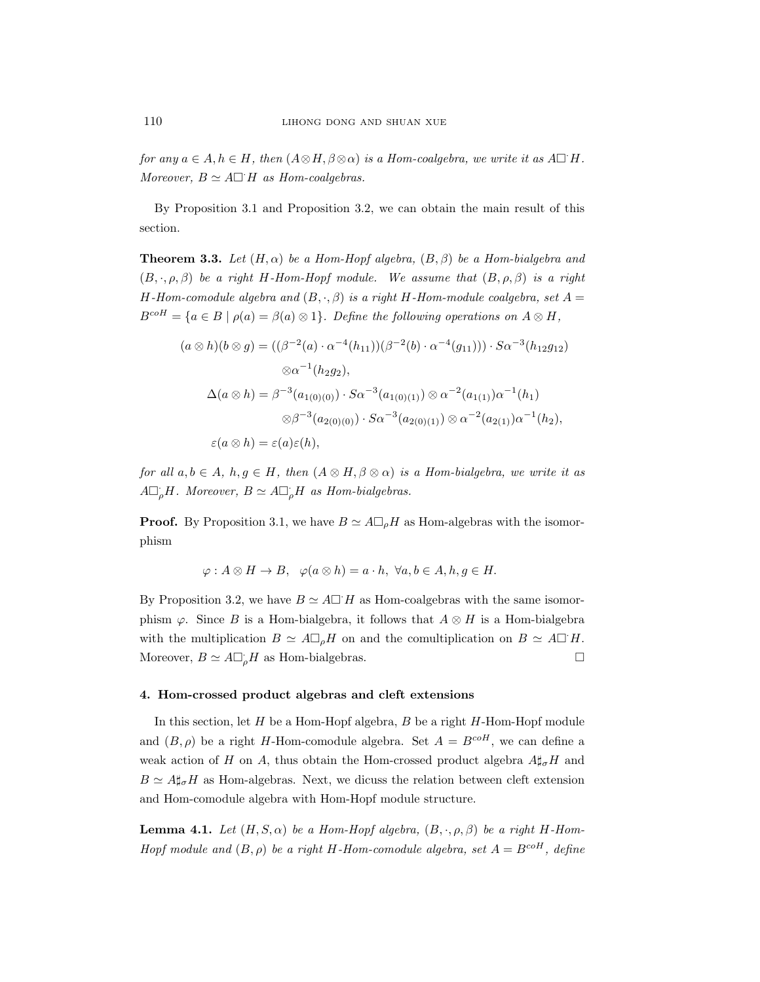for any  $a \in A, h \in H$ , then  $(A \otimes H, \beta \otimes \alpha)$  is a Hom-coalgebra, we write it as  $A \square H$ . Moreover,  $B \simeq A \square H$  as Hom-coalgebras.

By Proposition 3.1 and Proposition 3.2, we can obtain the main result of this section.

**Theorem 3.3.** Let  $(H, \alpha)$  be a Hom-Hopf algebra,  $(B, \beta)$  be a Hom-bialgebra and  $(B, \cdot, \rho, \beta)$  be a right H-Hom-Hopf module. We assume that  $(B, \rho, \beta)$  is a right H-Hom-comodule algebra and  $(B, \cdot, \beta)$  is a right H-Hom-module coalgebra, set  $A =$  $B^{coH} = \{a \in B \mid \rho(a) = \beta(a) \otimes 1\}.$  Define the following operations on  $A \otimes H$ ,

$$
(a \otimes h)(b \otimes g) = ((\beta^{-2}(a) \cdot \alpha^{-4}(h_{11}))(\beta^{-2}(b) \cdot \alpha^{-4}(g_{11}))) \cdot S\alpha^{-3}(h_{12}g_{12})
$$
  

$$
\otimes \alpha^{-1}(h_{2}g_{2}),
$$
  

$$
\Delta(a \otimes h) = \beta^{-3}(a_{1(0)(0)}) \cdot S\alpha^{-3}(a_{1(0)(1)}) \otimes \alpha^{-2}(a_{1(1)})\alpha^{-1}(h_{1})
$$
  

$$
\otimes \beta^{-3}(a_{2(0)(0)}) \cdot S\alpha^{-3}(a_{2(0)(1)}) \otimes \alpha^{-2}(a_{2(1)})\alpha^{-1}(h_{2}),
$$
  

$$
\varepsilon(a \otimes h) = \varepsilon(a)\varepsilon(h),
$$

for all  $a, b \in A$ ,  $h, g \in H$ , then  $(A \otimes H, \beta \otimes \alpha)$  is a Hom-bialgebra, we write it as  $A \Box_{\rho} H$ . Moreover,  $B \simeq A \Box_{\rho} H$  as Hom-bialgebras.

**Proof.** By Proposition 3.1, we have  $B \simeq A \square_{\rho} H$  as Hom-algebras with the isomorphism

$$
\varphi: A \otimes H \to B, \quad \varphi(a \otimes h) = a \cdot h, \ \forall a, b \in A, h, g \in H.
$$

By Proposition 3.2, we have  $B \simeq A \square H$  as Hom-coalgebras with the same isomorphism  $\varphi$ . Since B is a Hom-bialgebra, it follows that  $A \otimes H$  is a Hom-bialgebra with the multiplication  $B \simeq A\Box_{\rho}H$  on and the comultiplication on  $B \simeq A\Box H$ . Moreover,  $B \simeq A \Box_p H$  as Hom-bialgebras.

### 4. Hom-crossed product algebras and cleft extensions

In this section, let  $H$  be a Hom-Hopf algebra,  $B$  be a right  $H$ -Hom-Hopf module and  $(B, \rho)$  be a right H-Hom-comodule algebra. Set  $A = B^{coH}$ , we can define a weak action of H on A, thus obtain the Hom-crossed product algebra  $A\sharp_{\sigma}H$  and  $B \simeq A \sharp_{\sigma} H$  as Hom-algebras. Next, we dicuss the relation between cleft extension and Hom-comodule algebra with Hom-Hopf module structure.

**Lemma 4.1.** Let  $(H, S, \alpha)$  be a Hom-Hopf algebra,  $(B, \cdot, \rho, \beta)$  be a right H-Hom-Hopf module and  $(B, \rho)$  be a right H-Hom-comodule algebra, set  $A = B^{coH}$ , define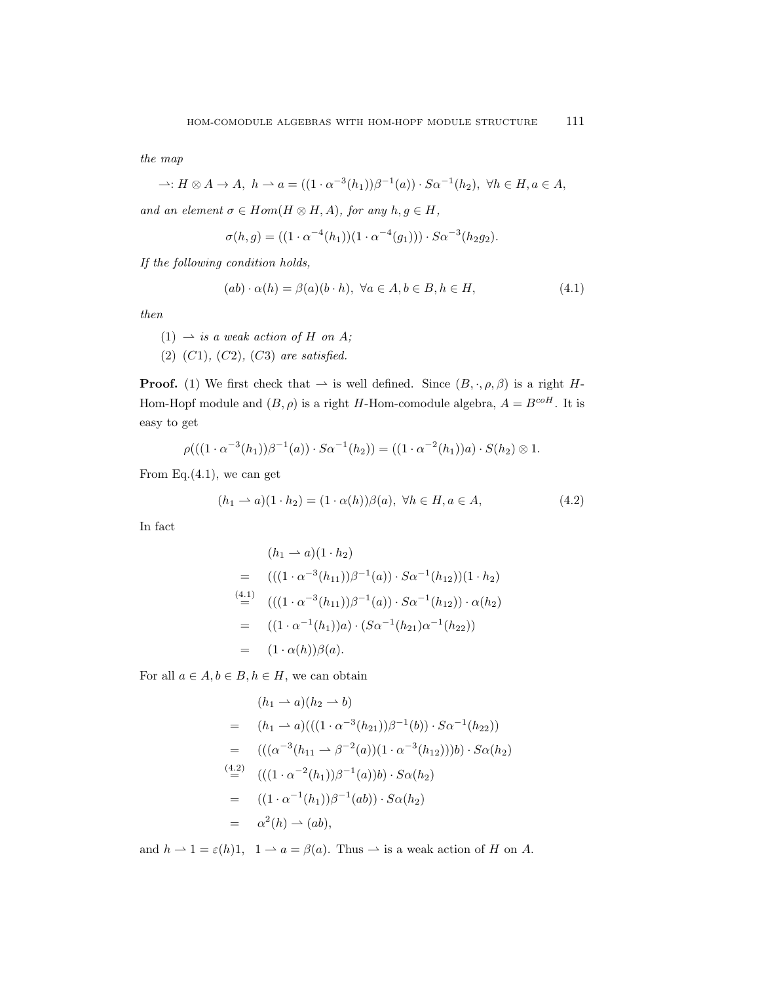the map

$$
\rightarrow: H \otimes A \rightarrow A, \ h \rightarrow a = ((1 \cdot \alpha^{-3}(h_1))\beta^{-1}(a)) \cdot S\alpha^{-1}(h_2), \ \forall h \in H, a \in A,
$$

and an element  $\sigma \in Hom(H \otimes H, A)$ , for any  $h, g \in H$ ,

$$
\sigma(h,g) = ((1 \cdot \alpha^{-4}(h_1))(1 \cdot \alpha^{-4}(g_1))) \cdot S \alpha^{-3}(h_2 g_2).
$$

If the following condition holds,

$$
(ab) \cdot \alpha(h) = \beta(a)(b \cdot h), \ \forall a \in A, b \in B, h \in H,
$$
\n
$$
(4.1)
$$

then

 $(1) \rightarrow is a weak action of H on A;$ 

(2)  $(C1)$ ,  $(C2)$ ,  $(C3)$  are satisfied.

**Proof.** (1) We first check that  $\rightarrow$  is well defined. Since  $(B, \cdot, \rho, \beta)$  is a right H-Hom-Hopf module and  $(B, \rho)$  is a right H-Hom-comodule algebra,  $A = B^{coH}$ . It is easy to get

$$
\rho(((1 \cdot \alpha^{-3}(h_1))\beta^{-1}(a)) \cdot S\alpha^{-1}(h_2)) = ((1 \cdot \alpha^{-2}(h_1))a) \cdot S(h_2) \otimes 1.
$$

From Eq. $(4.1)$ , we can get

$$
(h_1 \rightarrow a)(1 \cdot h_2) = (1 \cdot \alpha(h))\beta(a), \ \forall h \in H, a \in A,
$$
\n
$$
(4.2)
$$

In fact

$$
(h_1 \rightarrow a)(1 \cdot h_2)
$$
  
= 
$$
(((1 \cdot \alpha^{-3}(h_{11}))\beta^{-1}(a)) \cdot S\alpha^{-1}(h_{12}))(1 \cdot h_2)
$$
  

$$
\stackrel{(4.1)}{=} (((1 \cdot \alpha^{-3}(h_{11}))\beta^{-1}(a)) \cdot S\alpha^{-1}(h_{12})) \cdot \alpha(h_2)
$$
  
= 
$$
((1 \cdot \alpha^{-1}(h_1))a) \cdot (S\alpha^{-1}(h_{21})\alpha^{-1}(h_{22}))
$$
  
= 
$$
(1 \cdot \alpha(h))\beta(a).
$$

For all  $a \in A, b \in B, h \in H$ , we can obtain

$$
(h_1 \rightarrow a)(h_2 \rightarrow b)
$$
  
=  $(h_1 \rightarrow a)((((1 \cdot \alpha^{-3}(h_{21}))\beta^{-1}(b)) \cdot S\alpha^{-1}(h_{22}))$   
=  $(((\alpha^{-3}(h_{11} \rightarrow \beta^{-2}(a))(1 \cdot \alpha^{-3}(h_{12})))b) \cdot S\alpha(h_2))$   
 $\stackrel{(4.2)}{=} (((1 \cdot \alpha^{-2}(h_1))\beta^{-1}(a))b) \cdot S\alpha(h_2)$   
=  $((1 \cdot \alpha^{-1}(h_1))\beta^{-1}(ab)) \cdot S\alpha(h_2)$   
=  $\alpha^2(h) \rightarrow (ab),$ 

and  $h \rightharpoonup 1 = \varepsilon(h)1$ ,  $1 \rightharpoonup a = \beta(a)$ . Thus  $\rightharpoonup$  is a weak action of H on A.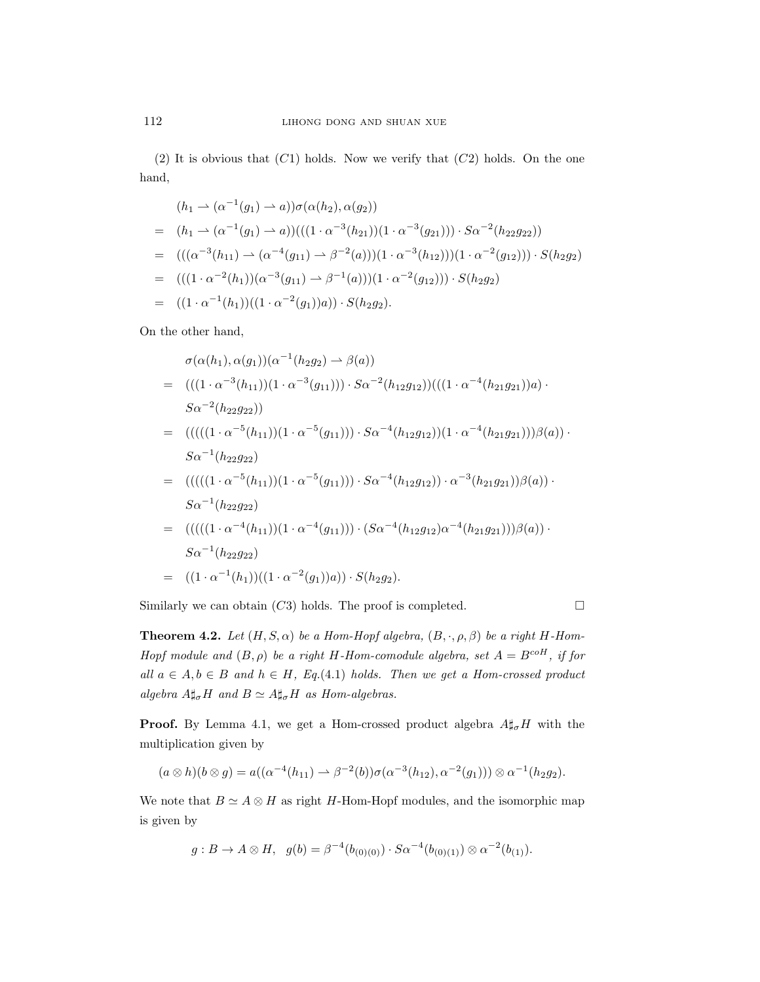(2) It is obvious that  $(C1)$  holds. Now we verify that  $(C2)$  holds. On the one hand,

$$
(h_1 \rightarrow (\alpha^{-1}(g_1) \rightarrow a))\sigma(\alpha(h_2), \alpha(g_2))
$$
  
=  $(h_1 \rightarrow (\alpha^{-1}(g_1) \rightarrow a))(((1 \cdot \alpha^{-3}(h_{21}))(1 \cdot \alpha^{-3}(g_{21}))) \cdot S\alpha^{-2}(h_{22}g_{22}))$   
=  $(((\alpha^{-3}(h_{11}) \rightarrow (\alpha^{-4}(g_{11}) \rightarrow \beta^{-2}(a)))(1 \cdot \alpha^{-3}(h_{12})))(1 \cdot \alpha^{-2}(g_{12}))) \cdot S(h_2g_2)$   
=  $((1 \cdot \alpha^{-2}(h_1))(\alpha^{-3}(g_{11}) \rightarrow \beta^{-1}(a)))(1 \cdot \alpha^{-2}(g_{12}))) \cdot S(h_2g_2)$   
=  $((1 \cdot \alpha^{-1}(h_1))((1 \cdot \alpha^{-2}(g_1))a)) \cdot S(h_2g_2).$ 

On the other hand,

$$
\sigma(\alpha(h_1), \alpha(g_1))(\alpha^{-1}(h_2g_2) \rightarrow \beta(a))
$$
\n
$$
= (((1 \cdot \alpha^{-3}(h_{11}))(1 \cdot \alpha^{-3}(g_{11}))) \cdot S\alpha^{-2}(h_{12}g_{12}))(((1 \cdot \alpha^{-4}(h_{21}g_{21}))a) \cdot S\alpha^{-2}(h_{22}g_{22}))
$$
\n
$$
= (((((1 \cdot \alpha^{-5}(h_{11}))(1 \cdot \alpha^{-5}(g_{11}))) \cdot S\alpha^{-4}(h_{12}g_{12})) (1 \cdot \alpha^{-4}(h_{21}g_{21})))\beta(a)) \cdot
$$
\n
$$
S\alpha^{-1}(h_{22}g_{22})
$$
\n
$$
= (((((1 \cdot \alpha^{-5}(h_{11}))(1 \cdot \alpha^{-5}(g_{11}))) \cdot S\alpha^{-4}(h_{12}g_{12})) \cdot \alpha^{-3}(h_{21}g_{21}))\beta(a)) \cdot
$$
\n
$$
S\alpha^{-1}(h_{22}g_{22})
$$
\n
$$
= (((((1 \cdot \alpha^{-4}(h_{11}))(1 \cdot \alpha^{-4}(g_{11}))) \cdot (S\alpha^{-4}(h_{12}g_{12})\alpha^{-4}(h_{21}g_{21})))\beta(a)) \cdot
$$
\n
$$
S\alpha^{-1}(h_{22}g_{22})
$$
\n
$$
= ((1 \cdot \alpha^{-1}(h_1))((1 \cdot \alpha^{-2}(g_1))a)) \cdot S(h_2g_2).
$$

Similarly we can obtain  $(C3)$  holds. The proof is completed.  $\square$ 

**Theorem 4.2.** Let  $(H, S, \alpha)$  be a Hom-Hopf algebra,  $(B, \cdot, \rho, \beta)$  be a right H-Hom-Hopf module and  $(B, \rho)$  be a right H-Hom-comodule algebra, set  $A = B^{coH}$ , if for all  $a \in A, b \in B$  and  $h \in H$ , Eq.(4.1) holds. Then we get a Hom-crossed product algebra  $A\sharp_{\sigma}H$  and  $B\simeq A\sharp_{\sigma}H$  as Hom-algebras.

**Proof.** By Lemma 4.1, we get a Hom-crossed product algebra  $A\sharp_{\sigma}H$  with the multiplication given by

$$
(a \otimes h)(b \otimes g) = a((\alpha^{-4}(h_{11}) \rightarrow \beta^{-2}(b))\sigma(\alpha^{-3}(h_{12}), \alpha^{-2}(g_1))) \otimes \alpha^{-1}(h_2g_2).
$$

We note that  $B \simeq A \otimes H$  as right H-Hom-Hopf modules, and the isomorphic map is given by

$$
g: B \to A \otimes H, \quad g(b) = \beta^{-4}(b_{(0)(0)}) \cdot S\alpha^{-4}(b_{(0)(1)}) \otimes \alpha^{-2}(b_{(1)}).
$$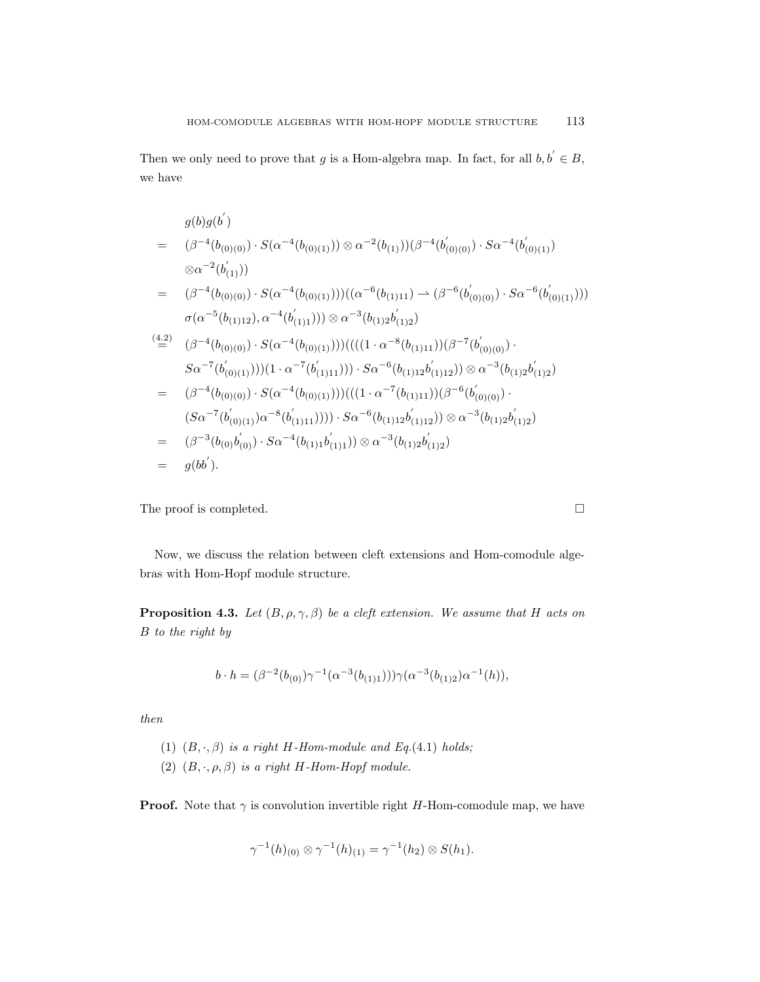Then we only need to prove that g is a Hom-algebra map. In fact, for all  $b, b \in B$ , we have

$$
g(b)g(b')
$$
\n
$$
= (\beta^{-4}(b_{(0)(0)}) \cdot S(\alpha^{-4}(b_{(0)(1)})) \otimes \alpha^{-2}(b_{(1)}))(\beta^{-4}(b'_{(0)(0)}) \cdot S\alpha^{-4}(b'_{(0)(1)})
$$
\n
$$
\otimes \alpha^{-2}(b'_{(1)}))
$$
\n
$$
= (\beta^{-4}(b_{(0)(0)}) \cdot S(\alpha^{-4}(b_{(0)(1)})))((\alpha^{-6}(b_{(1)11}) \rightarrow (\beta^{-6}(b'_{(0)(0)}) \cdot S\alpha^{-6}(b'_{(0)(1)})))
$$
\n
$$
\sigma(\alpha^{-5}(b_{(1)12}), \alpha^{-4}(b'_{(1)1}))) \otimes \alpha^{-3}(b_{(1)2}b'_{(1)2})
$$
\n
$$
\stackrel{(4.2)}{=} (\beta^{-4}(b_{(0)(0)}) \cdot S(\alpha^{-4}(b_{(0)(1)})))(((1 \cdot \alpha^{-8}(b_{(1)11}))(\beta^{-7}(b'_{(0)(0)}) \cdot S\alpha^{-7}(b'_{(0)(1)}))) (1 \cdot \alpha^{-7}(b'_{(1)11}))) \cdot S\alpha^{-6}(b_{(1)12}b'_{(1)12})) \otimes \alpha^{-3}(b_{(1)2}b'_{(1)2})
$$
\n
$$
= (\beta^{-4}(b_{(0)(0)}) \cdot S(\alpha^{-4}(b_{(0)(1)})))((1 \cdot \alpha^{-7}(b_{(1)11}))(\beta^{-6}(b'_{(0)(0)}) \cdot (S\alpha^{-7}(b'_{(0)(1)})\alpha^{-8}(b'_{(1)11})) \cdot S\alpha^{-6}(b_{(1)12}b'_{(1)12})) \otimes \alpha^{-3}(b_{(1)2}b'_{(1)2})
$$
\n
$$
= (\beta^{-3}(b_{(0)}b'_{(0)}) \cdot S\alpha^{-4}(b_{(1)1}b'_{(1)1})) \otimes \alpha^{-3}(b_{(1)2}b'_{(1)2})
$$
\n
$$
= g(bb').
$$

The proof is completed.  $\hfill \square$ 

Now, we discuss the relation between cleft extensions and Hom-comodule algebras with Hom-Hopf module structure.

**Proposition 4.3.** Let  $(B, \rho, \gamma, \beta)$  be a cleft extension. We assume that H acts on B to the right by

$$
b \cdot h = (\beta^{-2}(b_{(0)}) \gamma^{-1}(\alpha^{-3}(b_{(1)1}))) \gamma(\alpha^{-3}(b_{(1)2}) \alpha^{-1}(h)),
$$

then

- (1)  $(B, \cdot, \beta)$  is a right H-Hom-module and Eq.(4.1) holds;
- (2)  $(B, \cdot, \rho, \beta)$  is a right H-Hom-Hopf module.

**Proof.** Note that  $\gamma$  is convolution invertible right H-Hom-comodule map, we have

$$
\gamma^{-1}(h)_{(0)} \otimes \gamma^{-1}(h)_{(1)} = \gamma^{-1}(h_2) \otimes S(h_1).
$$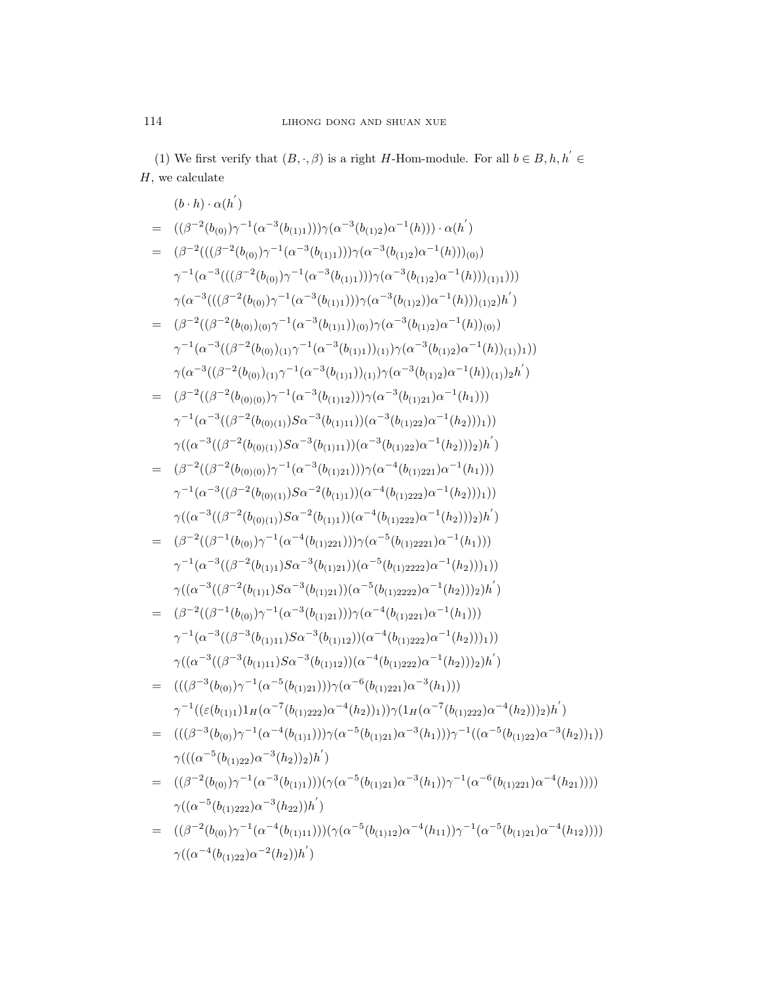(1) We first verify that  $(B, \cdot, \beta)$  is a right H-Hom-module. For all  $b \in B, h, h' \in$  $H$ , we calculate

$$
(b \cdot h) \cdot \alpha(h')
$$
  
\n
$$
= ((\beta^{-2}(b_{(0)})\gamma^{-1}(\alpha^{-3}(b_{(1)1})))\gamma(\alpha^{-3}(b_{(1)2})\alpha^{-1}(h))) \cdot \alpha(h')
$$
  
\n
$$
= (\beta^{-2}(((\beta^{-2}(b_{(0)})\gamma^{-1}(\alpha^{-3}(b_{(1)1}))))\gamma(\alpha^{-3}(b_{(1)2})\alpha^{-1}(h)))(\alpha))
$$
  
\n
$$
\gamma^{-1}(\alpha^{-3}(((\beta^{-2}(b_{(0)})\gamma^{-1}(\alpha^{-3}(b_{(1)1}))))\gamma(\alpha^{-3}(b_{(1)2})\alpha^{-1}(h)))(\alpha)) )
$$
  
\n
$$
\gamma(\alpha^{-3}(((\beta^{-2}(b_{(0)})\gamma^{-1}(\alpha^{-3}(b_{(1)1}))))\gamma(\alpha^{-3}(b_{(1)2})\alpha^{-1}(h)))(\alpha)) )
$$
  
\n
$$
= (\beta^{-2}((\beta^{-2}(b_{(0)})\alpha)^{-1}(\alpha^{-3}(b_{(1)1})))(\alpha)^{-2}(b_{(1)2})\alpha^{-1}(h))(\alpha))
$$
  
\n
$$
\gamma^{-1}(\alpha^{-3}((\beta^{-2}(b_{(0)})\alpha)^{-1}(\alpha^{-3}(b_{(1)1})))(\alpha)^{-2}(b_{(1)2})\alpha^{-1}(h))(\alpha)) )
$$
  
\n
$$
\gamma^{-1}(\alpha^{-3}((\beta^{-2}(b_{(0)})\alpha)^{-1}(\alpha^{-3}(b_{(1)1})))(\alpha^{-3}(b_{(1)2})\alpha^{-1}(h)))(\alpha)) )
$$
  
\n
$$
\gamma^{-1}(\alpha^{-3}((\beta^{-2}(b_{(0)1)})S\alpha^{-3}(b_{(1)11})))(\alpha^{-3}(b_{(1)21})\alpha^{-1}(h_1)) )
$$
  
\n
$$
\gamma^{-1}(\alpha^{-3}((\beta^{-2}(b_{(0)1)})S\alpha^{-3}(b_{(1)11})))(\alpha^{-3}(b_{(1)22})\alpha^{-1}(h_2)))))
$$
  
\n
$$
\gamma((\alpha^{-3}((\beta^{-2}(b_{(0)1)})S\alpha^{-3}(b_{(1)11})))(\alpha^{-3}(b_{(1)22})\alpha^{-1}(h_2)))))
$$
  
\n
$$
\gamma((\alpha^{-3}((\beta^{-2}(b_{(0
$$

 $\gamma((\alpha^{-4}(b_{(1)22})\alpha^{-2}(h_2))h^{'})$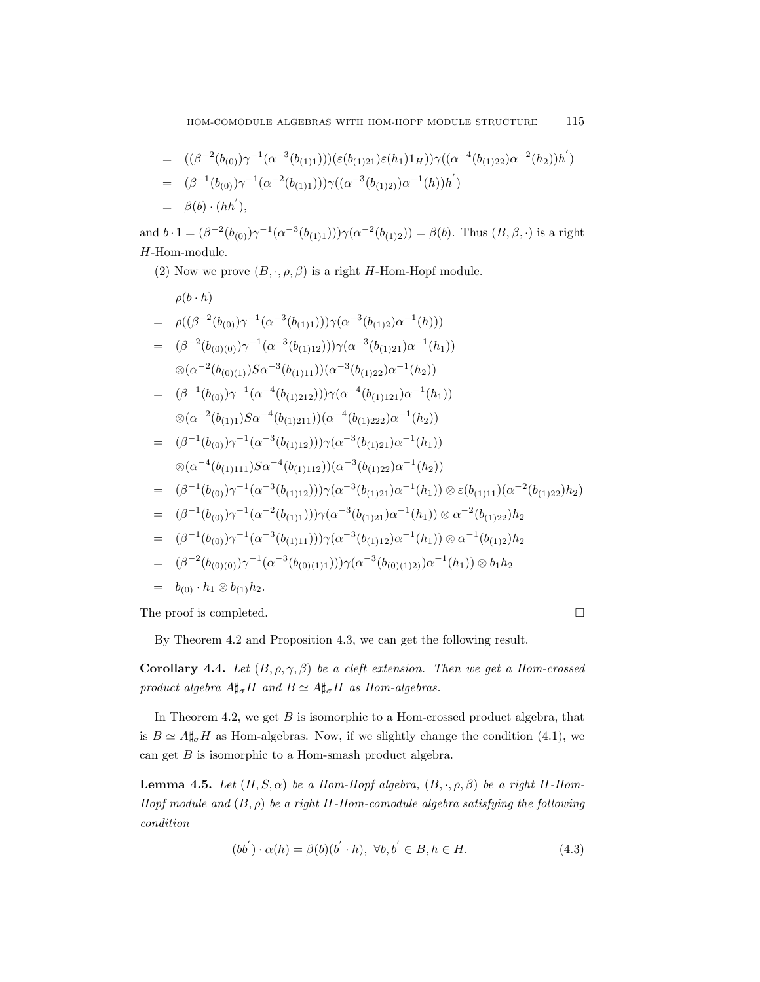$$
= ((\beta^{-2}(b_{(0)})\gamma^{-1}(\alpha^{-3}(b_{(1)1})))(\epsilon(b_{(1)21})\epsilon(h_1)1_H))\gamma((\alpha^{-4}(b_{(1)22})\alpha^{-2}(h_2))h')
$$
  
\n
$$
= (\beta^{-1}(b_{(0)})\gamma^{-1}(\alpha^{-2}(b_{(1)1})))\gamma((\alpha^{-3}(b_{(1)2)})\alpha^{-1}(h))h')
$$
  
\n
$$
= \beta(b) \cdot (hh'),
$$

and  $b \cdot 1 = (\beta^{-2}(b_{(0)}) \gamma^{-1}(\alpha^{-3}(b_{(1)1}))) \gamma(\alpha^{-2}(b_{(1)2})) = \beta(b)$ . Thus  $(B, \beta, \cdot)$  is a right H-Hom-module.

(2) Now we prove  $(B, \cdot, \rho, \beta)$  is a right H-Hom-Hopf module.

$$
\rho(b \cdot h)
$$
\n
$$
= \rho((\beta^{-2}(b_{(0)})\gamma^{-1}(\alpha^{-3}(b_{(1)1})))\gamma(\alpha^{-3}(b_{(1)2})\alpha^{-1}(h)))
$$
\n
$$
= (\beta^{-2}(b_{(0)(0)})\gamma^{-1}(\alpha^{-3}(b_{(1)12})))\gamma(\alpha^{-3}(b_{(1)21})\alpha^{-1}(h_1))
$$
\n
$$
\otimes(\alpha^{-2}(b_{(0)(1)})S\alpha^{-3}(b_{(1)11}))(\alpha^{-3}(b_{(1)22})\alpha^{-1}(h_2))
$$
\n
$$
= (\beta^{-1}(b_{(0)})\gamma^{-1}(\alpha^{-4}(b_{(1)212}))\gamma(\alpha^{-4}(b_{(1)121})\alpha^{-1}(h_1))
$$
\n
$$
\otimes(\alpha^{-2}(b_{(1)1})S\alpha^{-4}(b_{(1)211}))(\alpha^{-4}(b_{(1)222})\alpha^{-1}(h_2))
$$
\n
$$
= (\beta^{-1}(b_{(0)})\gamma^{-1}(\alpha^{-3}(b_{(1)12}))\gamma(\alpha^{-3}(b_{(1)21})\alpha^{-1}(h_1))
$$
\n
$$
\otimes(\alpha^{-4}(b_{(1)111})S\alpha^{-4}(b_{(1)112}))(\alpha^{-3}(b_{(1)22})\alpha^{-1}(h_2))
$$
\n
$$
= (\beta^{-1}(b_{(0)})\gamma^{-1}(\alpha^{-3}(b_{(1)12}))\gamma(\alpha^{-3}(b_{(1)22})\alpha^{-1}(h_1))\otimes \varepsilon(b_{(1)11})(\alpha^{-2}(b_{(1)22})h_2)
$$
\n
$$
= (\beta^{-1}(b_{(0)})\gamma^{-1}(\alpha^{-2}(b_{(1)1}))\gamma(\alpha^{-3}(b_{(1)21})\alpha^{-1}(h_1))\otimes \alpha^{-2}(b_{(1)22})h_2
$$
\n
$$
= (\beta^{-1}(b_{(0)})\gamma^{-1}(\alpha^{-2}(b_{(1)1}))\gamma(\alpha^{-3}(b_{(1)21})\alpha^{-1}(h_1))\otimes \alpha^{-2}(b_{(1)22})h_2
$$
\n
$$
= (\beta^{-1}(b_{(0)})\gamma^{-1}(\alpha^{-3}(b_{(1)11}))\gamma(\alpha^{-3}(b_{(1)12})\alpha
$$

The proof is completed.

By Theorem 4.2 and Proposition 4.3, we can get the following result.

Corollary 4.4. Let  $(B, \rho, \gamma, \beta)$  be a cleft extension. Then we get a Hom-crossed product algebra  $A\sharp_{\sigma}H$  and  $B\simeq A\sharp_{\sigma}H$  as Hom-algebras.

In Theorem 4.2, we get  $B$  is isomorphic to a Hom-crossed product algebra, that is  $B \simeq A \sharp_{\sigma} H$  as Hom-algebras. Now, if we slightly change the condition (4.1), we can get  $B$  is isomorphic to a Hom-smash product algebra.

**Lemma 4.5.** Let  $(H, S, \alpha)$  be a Hom-Hopf algebra,  $(B, \cdot, \rho, \beta)$  be a right H-Hom-Hopf module and  $(B, \rho)$  be a right H-Hom-comodule algebra satisfying the following condition

$$
(bb') \cdot \alpha(h) = \beta(b)(b' \cdot h), \ \forall b, b' \in B, h \in H.
$$
\n
$$
(4.3)
$$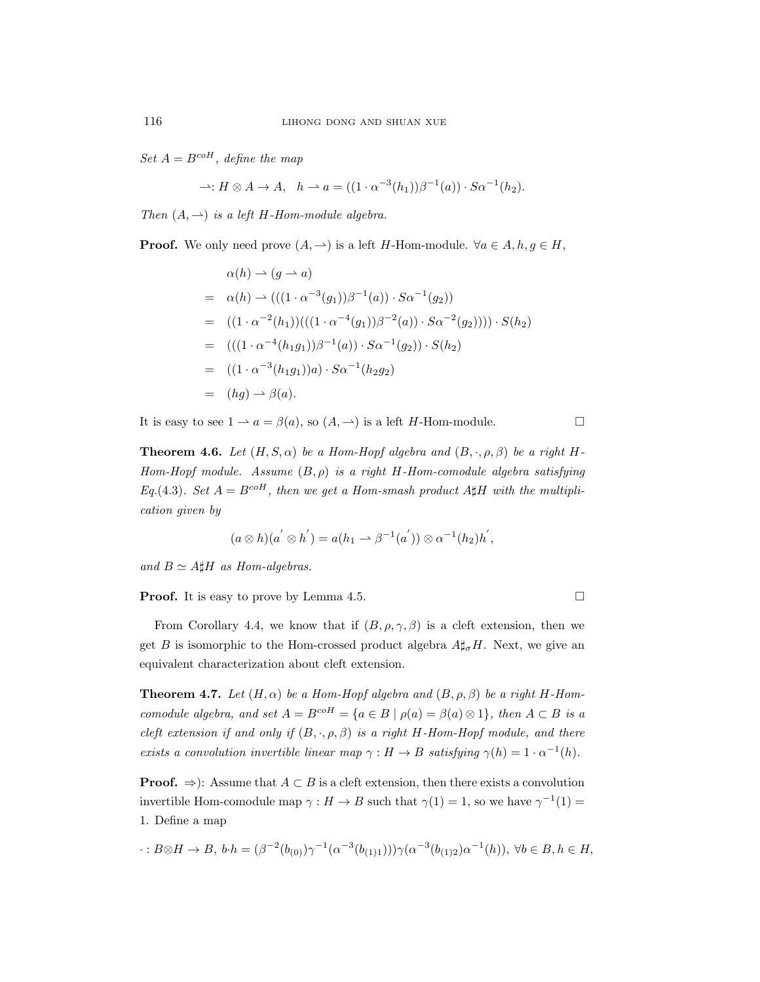Set  $A = B^{coH}$ , define the map

$$
\rightharpoonup: H \otimes A \to A, \quad h \rightharpoonup a = ((1 \cdot \alpha^{-3}(h_1))\beta^{-1}(a)) \cdot S\alpha^{-1}(h_2).
$$

Then  $(A, \rightharpoonup)$  is a left H-Hom-module algebra.

**Proof.** We only need prove  $(A, \rightharpoonup)$  is a left H-Hom-module.  $\forall a \in A, h, g \in H$ ,

$$
\alpha(h) \rightarrow (g \rightarrow a)
$$
  
=  $\alpha(h) \rightarrow (((1 \cdot \alpha^{-3}(g_1))\beta^{-1}(a)) \cdot S\alpha^{-1}(g_2))$   
=  $((1 \cdot \alpha^{-2}(h_1))(((1 \cdot \alpha^{-4}(g_1))\beta^{-2}(a)) \cdot S\alpha^{-2}(g_2)))) \cdot S(h_2)$   
=  $((1 \cdot \alpha^{-4}(h_1g_1))\beta^{-1}(a)) \cdot S\alpha^{-1}(g_2)) \cdot S(h_2)$   
=  $((1 \cdot \alpha^{-3}(h_1g_1))a) \cdot S\alpha^{-1}(h_2g_2)$   
=  $(hg) \rightarrow \beta(a).$ 

It is easy to see  $1 \rightarrow a = \beta(a)$ , so  $(A, \rightarrow)$  is a left *H*-Hom-module.

**Theorem 4.6.** Let  $(H, S, \alpha)$  be a Hom-Hopf algebra and  $(B, \cdot, \rho, \beta)$  be a right H-Hom-Hopf module. Assume  $(B, \rho)$  is a right H-Hom-comodule algebra satisfying Eq.(4.3). Set  $A = B^{coH}$ , then we get a Hom-smash product  $A \sharp H$  with the multiplication given by

$$
(a \otimes h)(a^{'} \otimes h^{'}) = a(h_1 \rightarrow \beta^{-1}(a^{'})) \otimes \alpha^{-1}(h_2)h^{'},
$$

and  $B \simeq A \sharp H$  as Hom-algebras.

**Proof.** It is easy to prove by Lemma 4.5. □

From Corollary 4.4, we know that if  $(B, \rho, \gamma, \beta)$  is a cleft extension, then we get B is isomorphic to the Hom-crossed product algebra  $A\sharp_{\sigma}H$ . Next, we give an equivalent characterization about cleft extension.

**Theorem 4.7.** Let  $(H, \alpha)$  be a Hom-Hopf algebra and  $(B, \rho, \beta)$  be a right H-Homcomodule algebra, and set  $A = B^{coH} = \{a \in B \mid \rho(a) = \beta(a) \otimes 1\}$ , then  $A \subset B$  is a cleft extension if and only if  $(B, \cdot, \rho, \beta)$  is a right H-Hom-Hopf module, and there exists a convolution invertible linear map  $\gamma : H \to B$  satisfying  $\gamma(h) = 1 \cdot \alpha^{-1}(h)$ .

**Proof.**  $\Rightarrow$ ): Assume that  $A \subset B$  is a cleft extension, then there exists a convolution invertible Hom-comodule map  $\gamma : H \to B$  such that  $\gamma(1) = 1$ , so we have  $\gamma^{-1}(1) =$ 1. Define a map

$$
\cdot: B \otimes H \to B, \ b \cdot h = (\beta^{-2}(b_{(0)}) \gamma^{-1}(\alpha^{-3}(b_{(1)1}))) \gamma(\alpha^{-3}(b_{(1)2}) \alpha^{-1}(h)), \ \forall b \in B, h \in H,
$$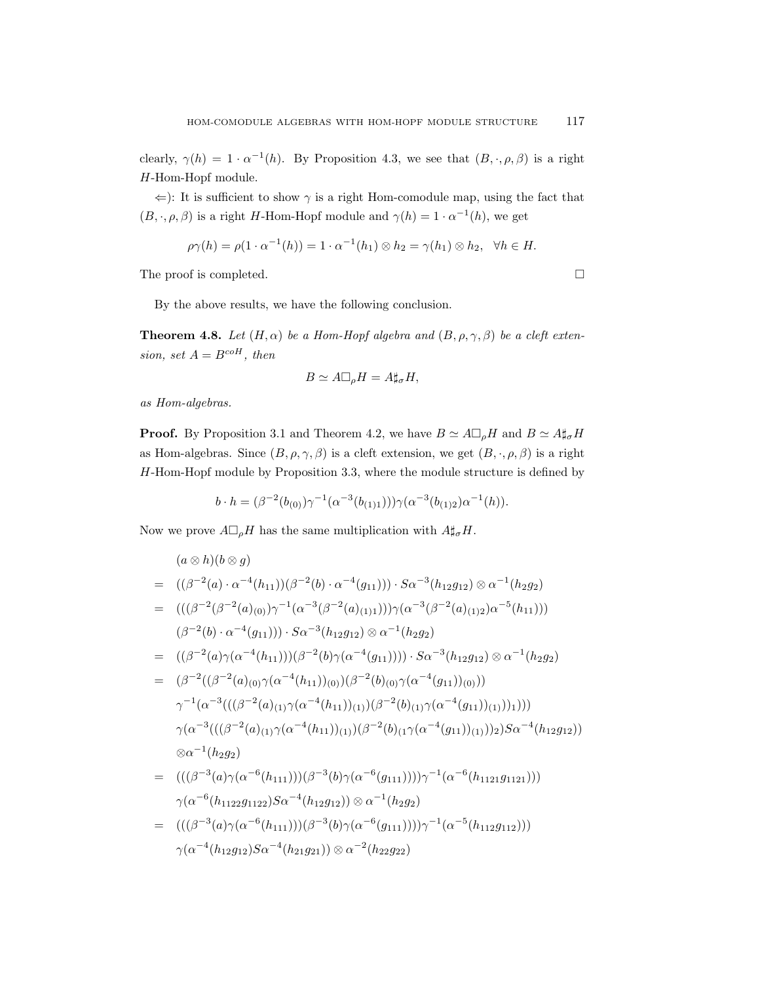clearly,  $\gamma(h) = 1 \cdot \alpha^{-1}(h)$ . By Proposition 4.3, we see that  $(B, \cdot, \rho, \beta)$  is a right H-Hom-Hopf module.

 $\Leftarrow$ ): It is sufficient to show  $\gamma$  is a right Hom-comodule map, using the fact that  $(B, \cdot, \rho, \beta)$  is a right H-Hom-Hopf module and  $\gamma(h) = 1 \cdot \alpha^{-1}(h)$ , we get

$$
\rho\gamma(h) = \rho(1 \cdot \alpha^{-1}(h)) = 1 \cdot \alpha^{-1}(h_1) \otimes h_2 = \gamma(h_1) \otimes h_2, \quad \forall h \in H.
$$

The proof is completed.

By the above results, we have the following conclusion.

**Theorem 4.8.** Let  $(H, \alpha)$  be a Hom-Hopf algebra and  $(B, \rho, \gamma, \beta)$  be a cleft extension, set  $A = B^{coH}$ , then

$$
B \simeq A \Box_{\rho} H = A \sharp_{\sigma} H,
$$

as Hom-algebras.

**Proof.** By Proposition 3.1 and Theorem 4.2, we have  $B \simeq A \square_{\rho} H$  and  $B \simeq A \sharp_{\sigma} H$ as Hom-algebras. Since  $(B, \rho, \gamma, \beta)$  is a cleft extension, we get  $(B, \cdot, \rho, \beta)$  is a right H-Hom-Hopf module by Proposition 3.3, where the module structure is defined by

$$
b \cdot h = (\beta^{-2}(b_{(0)}) \gamma^{-1}(\alpha^{-3}(b_{(1)1}))) \gamma(\alpha^{-3}(b_{(1)2}) \alpha^{-1}(h)).
$$

Now we prove  $A \Box_{\rho} H$  has the same multiplication with  $A \sharp_{\sigma} H$ .

 $\gamma(\alpha^{-4}(h_{12}g_{12})S\alpha^{-4}(h_{21}g_{21}))\otimes \alpha^{-2}(h_{22}g_{22})$ 

$$
(a \otimes h)(b \otimes g)
$$
  
=  $((\beta^{-2}(a) \cdot \alpha^{-4}(h_{11}))(\beta^{-2}(b) \cdot \alpha^{-4}(g_{11}))) \cdot S\alpha^{-3}(h_{12}g_{12}) \otimes \alpha^{-1}(h_{2}g_{2})$   
=  $(((\beta^{-2}(\beta^{-2}(a)_{(0)})\gamma^{-1}(\alpha^{-3}(\beta^{-2}(a)_{(1)1})))\gamma(\alpha^{-3}(\beta^{-2}(a)_{(1)2})\alpha^{-5}(h_{11})))$   
 $(\beta^{-2}(b) \cdot \alpha^{-4}(g_{11}))) \cdot S\alpha^{-3}(h_{12}g_{12}) \otimes \alpha^{-1}(h_{2}g_{2})$   
=  $((\beta^{-2}(a)\gamma(\alpha^{-4}(h_{11})))(\beta^{-2}(b)\gamma(\alpha^{-4}(g_{11})))) \cdot S\alpha^{-3}(h_{12}g_{12}) \otimes \alpha^{-1}(h_{2}g_{2})$   
=  $(\beta^{-2}((\beta^{-2}(a)_{(0)}\gamma(\alpha^{-4}(h_{11}))_{(0)})(\beta^{-2}(b)_{(0)}\gamma(\alpha^{-4}(g_{11}))_{(0)})))$   
 $\gamma^{-1}(\alpha^{-3}(((\beta^{-2}(a)_{(1)}\gamma(\alpha^{-4}(h_{11}))_{(1)})(\beta^{-2}(b)_{(1)}\gamma(\alpha^{-4}(g_{11}))_{(1)})))1)))$   
 $\gamma(\alpha^{-3}(((\beta^{-2}(a)_{(1)}\gamma(\alpha^{-4}(h_{11}))_{(1)})(\beta^{-2}(b)_{(1}\gamma(\alpha^{-4}(g_{11}))_{(1)})))_2)S\alpha^{-4}(h_{12}g_{12}))$   
 $\otimes \alpha^{-1}(h_{2}g_{2})$   
=  $(((\beta^{-3}(a)\gamma(\alpha^{-6}(h_{111})))(\beta^{-3}(b)\gamma(\alpha^{-6}(g_{111}))))\gamma^{-1}(\alpha^{-6}(h_{1121}g_{1121})))$   
 $\gamma(\alpha^{-6}(h_{1122}g_{1122})S\alpha^{-4}(h_{12}g_{12})) \otimes \alpha^{-1}(h_{2}g_{2})$   
=  $((\beta^{-3}(a)\gamma(\alpha^{-6}(h_{111})))(\beta^{-3}(b)\gamma(\alpha^{-6}(g_{111}))))\gamma^{-1}(\alpha^{-5}(h_{$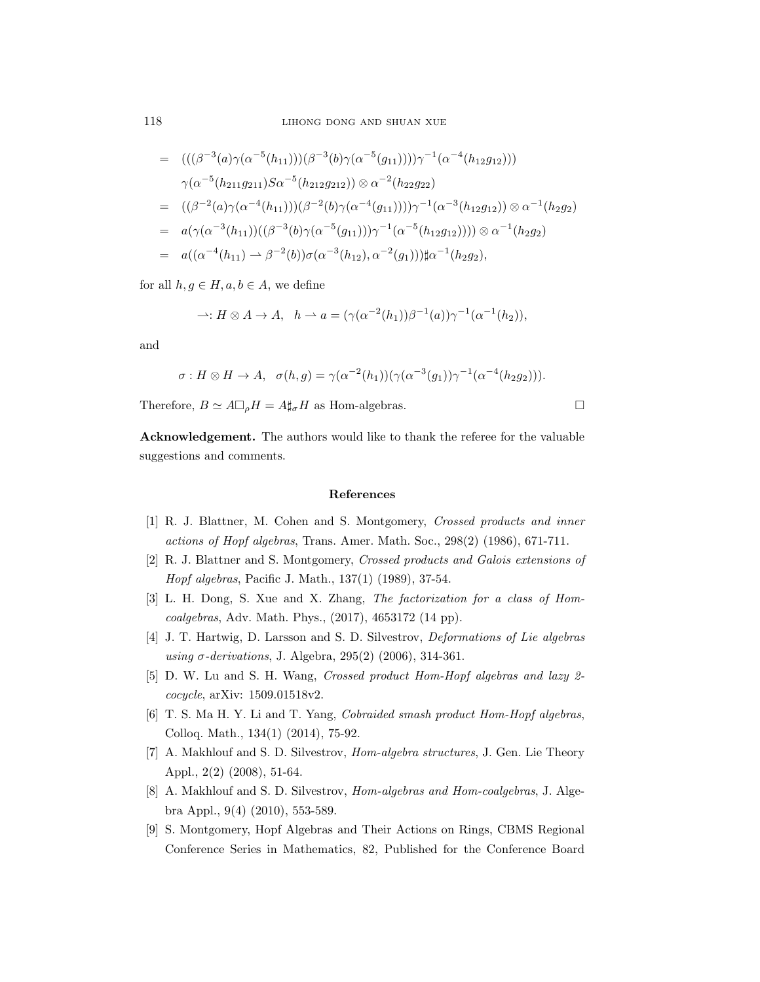118 LIHONG DONG AND SHUAN XUE

$$
= ((((\beta^{-3}(a)\gamma(\alpha^{-5}(h_{11})))(\beta^{-3}(b)\gamma(\alpha^{-5}(g_{11}))))\gamma^{-1}(\alpha^{-4}(h_{12}g_{12})))
$$
  
\n
$$
\gamma(\alpha^{-5}(h_{211}g_{211})S\alpha^{-5}(h_{212}g_{212})) \otimes \alpha^{-2}(h_{22}g_{22})
$$
  
\n
$$
= ((\beta^{-2}(a)\gamma(\alpha^{-4}(h_{11})))(\beta^{-2}(b)\gamma(\alpha^{-4}(g_{11}))))\gamma^{-1}(\alpha^{-3}(h_{12}g_{12})) \otimes \alpha^{-1}(h_{2}g_{2})
$$
  
\n
$$
= a(\gamma(\alpha^{-3}(h_{11}))((\beta^{-3}(b)\gamma(\alpha^{-5}(g_{11}))))\gamma^{-1}(\alpha^{-5}(h_{12}g_{12}))) \otimes \alpha^{-1}(h_{2}g_{2})
$$
  
\n
$$
= a((\alpha^{-4}(h_{11}) \rightarrow \beta^{-2}(b))\sigma(\alpha^{-3}(h_{12}), \alpha^{-2}(g_{1}))) \sharp \alpha^{-1}(h_{2}g_{2}),
$$

for all  $h, g \in H, a, b \in A$ , we define

$$
\rightharpoonup: H \otimes A \to A, \quad h \rightharpoonup a = (\gamma(\alpha^{-2}(h_1))\beta^{-1}(a))\gamma^{-1}(\alpha^{-1}(h_2)),
$$

and

$$
\sigma: H \otimes H \to A
$$
,  $\sigma(h, g) = \gamma(\alpha^{-2}(h_1))(\gamma(\alpha^{-3}(g_1))\gamma^{-1}(\alpha^{-4}(h_2g_2))).$ 

Therefore,  $B \simeq A \Box_{\rho} H = A \sharp_{\sigma} H$  as Hom-algebras.

Acknowledgement. The authors would like to thank the referee for the valuable suggestions and comments.

### References

- [1] R. J. Blattner, M. Cohen and S. Montgomery, Crossed products and inner actions of Hopf algebras, Trans. Amer. Math. Soc., 298(2) (1986), 671-711.
- [2] R. J. Blattner and S. Montgomery, Crossed products and Galois extensions of Hopf algebras, Pacific J. Math., 137(1) (1989), 37-54.
- [3] L. H. Dong, S. Xue and X. Zhang, The factorization for a class of Homcoalgebras, Adv. Math. Phys., (2017), 4653172 (14 pp).
- [4] J. T. Hartwig, D. Larsson and S. D. Silvestrov, Deformations of Lie algebras using σ-derivations, J. Algebra, 295(2) (2006), 314-361.
- [5] D. W. Lu and S. H. Wang, Crossed product Hom-Hopf algebras and lazy 2 cocycle, arXiv: 1509.01518v2.
- [6] T. S. Ma H. Y. Li and T. Yang, Cobraided smash product Hom-Hopf algebras, Colloq. Math., 134(1) (2014), 75-92.
- [7] A. Makhlouf and S. D. Silvestrov, Hom-algebra structures, J. Gen. Lie Theory Appl., 2(2) (2008), 51-64.
- [8] A. Makhlouf and S. D. Silvestrov, Hom-algebras and Hom-coalgebras, J. Algebra Appl., 9(4) (2010), 553-589.
- [9] S. Montgomery, Hopf Algebras and Their Actions on Rings, CBMS Regional Conference Series in Mathematics, 82, Published for the Conference Board